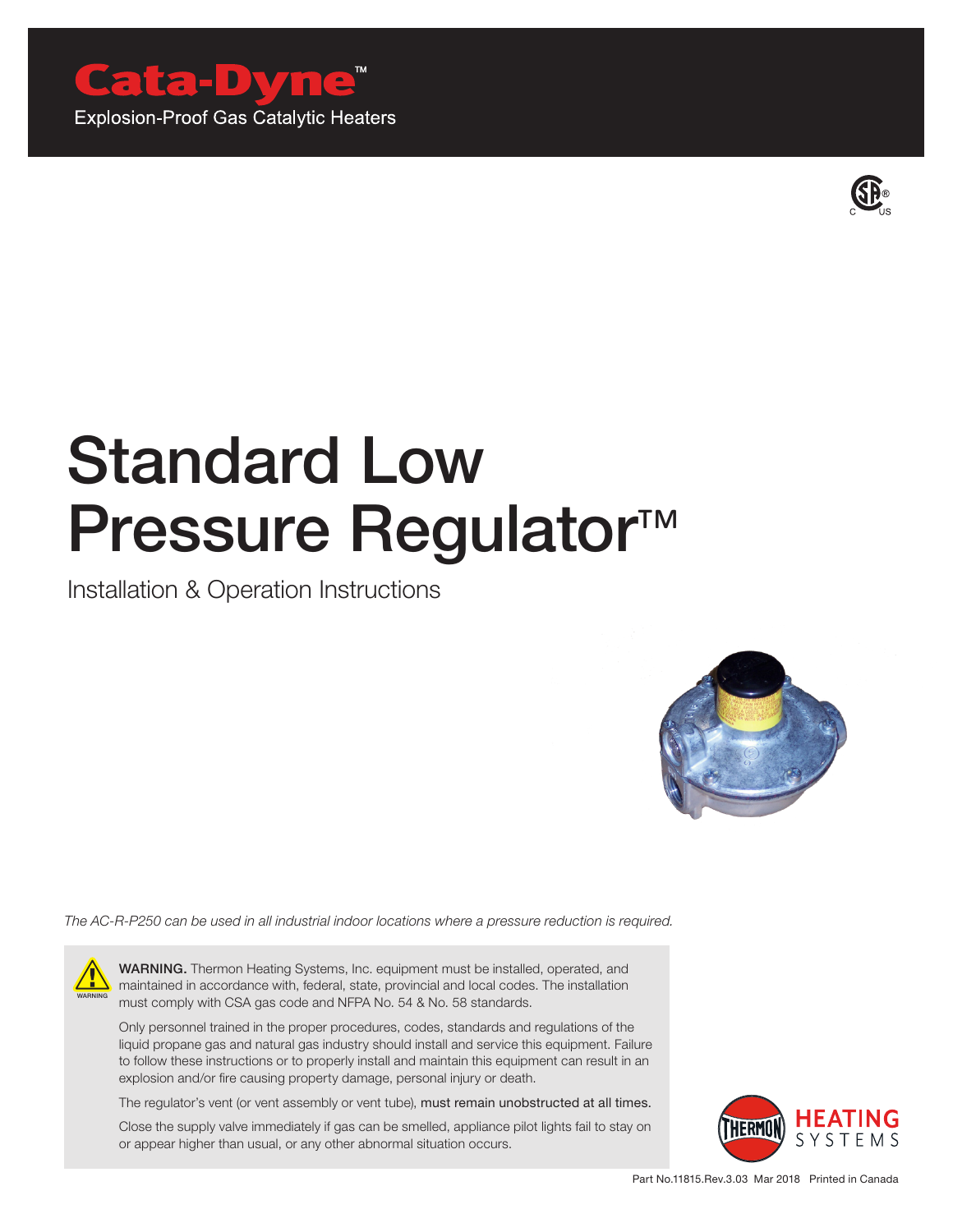

**Explosion-Proof Gas Catalytic Heaters** 



# Standard Low Pressure Regulator<sup>™</sup>

Installation & Operation Instructions



*The AC-R-P250 can be used in all industrial indoor locations where a pressure reduction is required.*



WARNING. Thermon Heating Systems, Inc. equipment must be installed, operated, and maintained in accordance with, federal, state, provincial and local codes. The installation must comply with CSA gas code and NFPA No. 54 & No. 58 standards.

Only personnel trained in the proper procedures, codes, standards and regulations of the liquid propane gas and natural gas industry should install and service this equipment. Failure to follow these instructions or to properly install and maintain this equipment can result in an explosion and/or fire causing property damage, personal injury or death.

The regulator's vent (or vent assembly or vent tube), must remain unobstructed at all times.

Close the supply valve immediately if gas can be smelled, appliance pilot lights fail to stay on or appear higher than usual, or any other abnormal situation occurs.

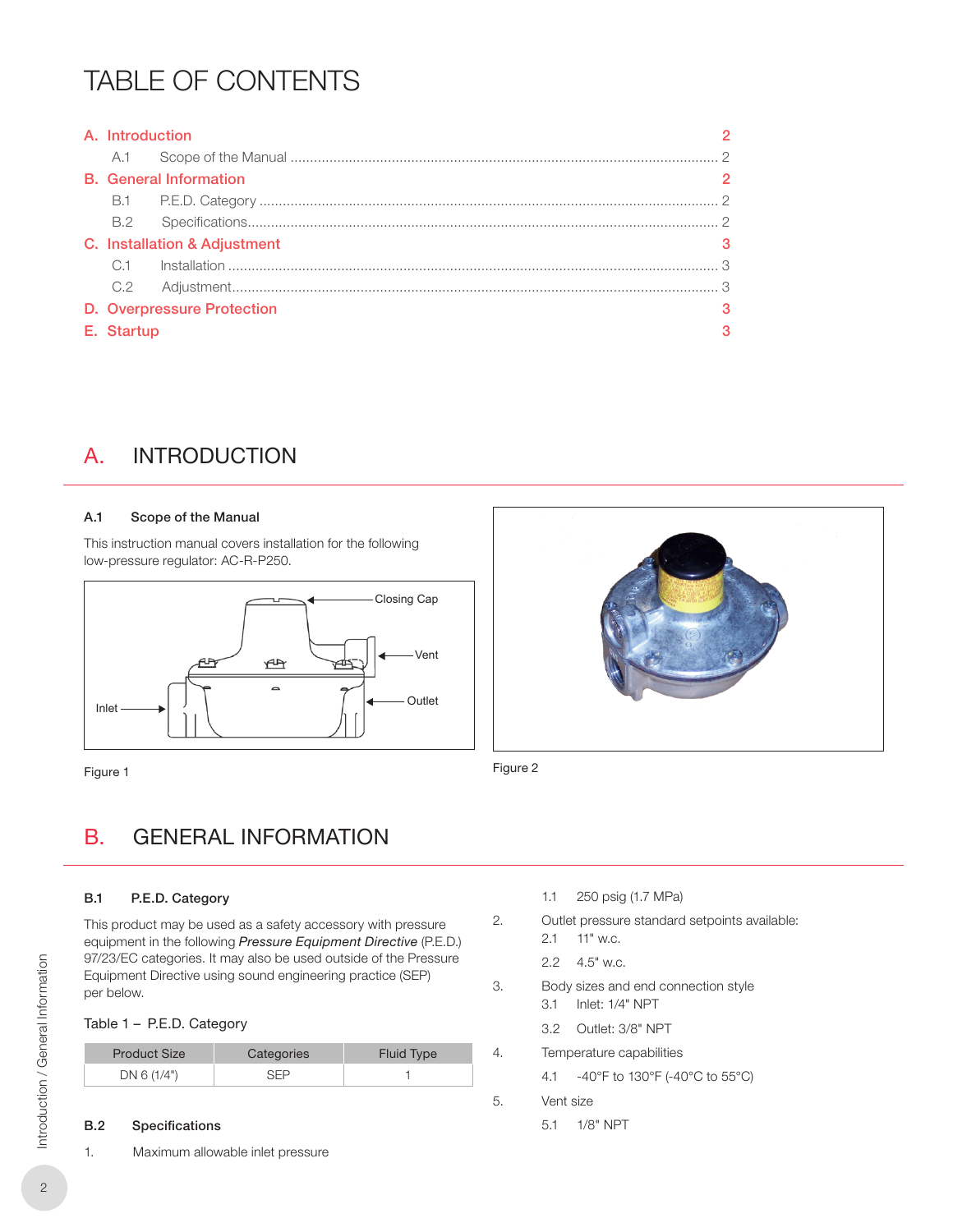## TABLE OF CONTENTS

| A. Introduction |                                   |   |
|-----------------|-----------------------------------|---|
|                 |                                   |   |
|                 | <b>B.</b> General Information     |   |
|                 |                                   |   |
|                 |                                   |   |
|                 | C. Installation & Adjustment      |   |
|                 |                                   |   |
|                 |                                   |   |
|                 | <b>D.</b> Overpressure Protection | З |
| E. Startup      |                                   |   |

## A. INTRODUCTION

### A.1 Scope of the Manual

This instruction manual covers installation for the following low‑pressure regulator: AC-R-P250.



Figure 1 Figure 2



## B. GENERAL INFORMATION

### B.1 P.E.D. Category

This product may be used as a safety accessory with pressure equipment in the following *Pressure Equipment Directive* (P.E.D.) 97/23/EC categories. It may also be used outside of the Pressure Equipment Directive using sound engineering practice (SEP) per below.

### Table 1 – P.E.D. Category

| <b>Product Size</b> | Categories | <b>Fluid Type</b> |
|---------------------|------------|-------------------|
| DN 6 (1/4")         | シート        |                   |

### B.2 Specifications

1. Maximum allowable inlet pressure

- 1.1 250 psig (1.7 MPa)
- 2. Outlet pressure standard setpoints available: 2.1 11" w.c.
	- 2.2 4.5" w.c.
- 3. Body sizes and end connection style 3.1 Inlet: 1/4" NPT
	- 3.2 Outlet: 3/8" NPT
- 4. Temperature capabilities
	- 4.1 -40°F to 130°F (-40°C to 55°C)
- 5. Vent size
	- 5.1 1/8" NPT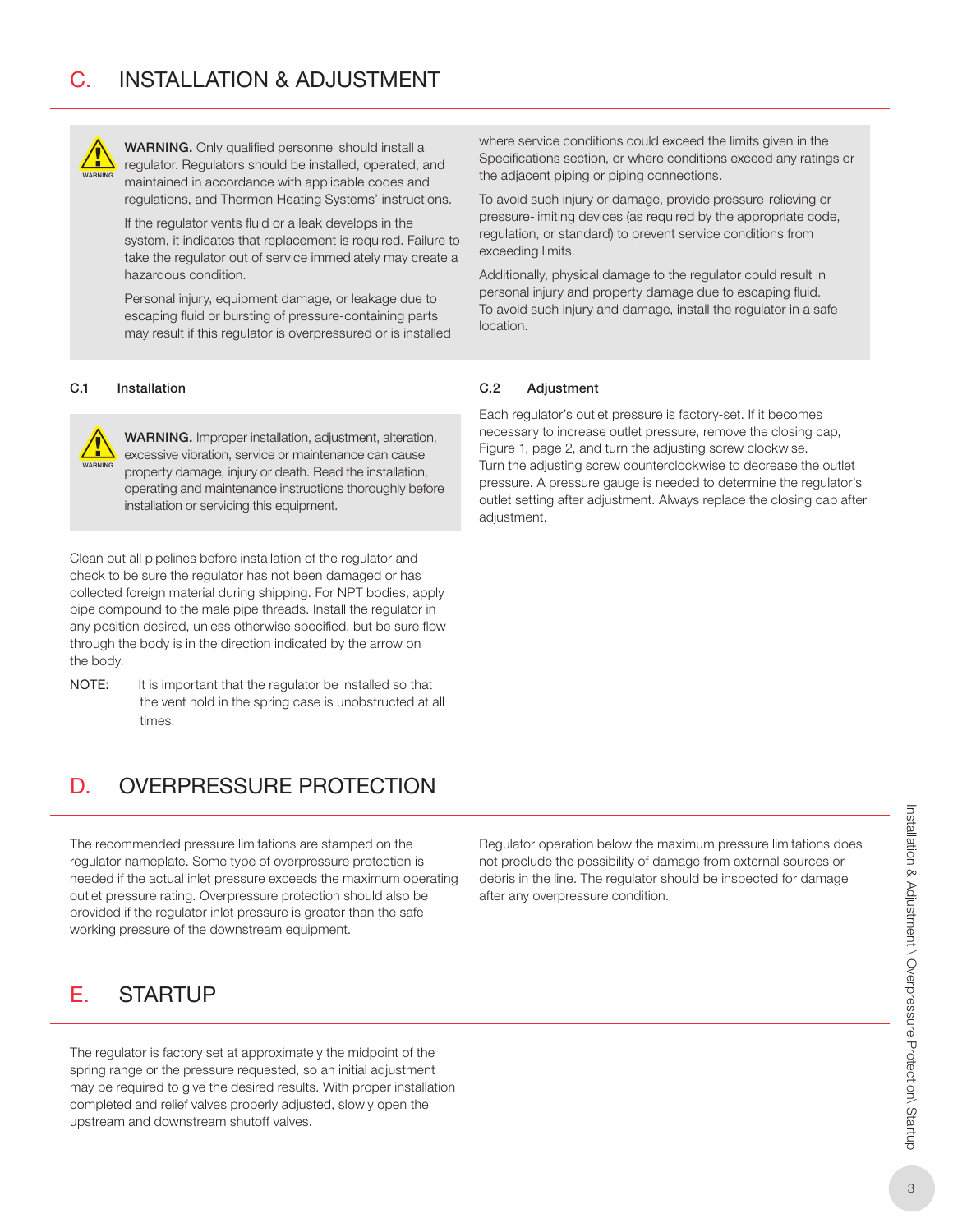

WARNING. Only qualified personnel should install a regulator. Regulators should be installed, operated, and maintained in accordance with applicable codes and regulations, and Thermon Heating Systems' instructions.

If the regulator vents fluid or a leak develops in the system, it indicates that replacement is required. Failure to take the regulator out of service immediately may create a hazardous condition.

Personal injury, equipment damage, or leakage due to escaping fluid or bursting of pressure-containing parts may result if this regulator is overpressured or is installed

### C.1 Installation



WARNING. Improper installation, adjustment, alteration, excessive vibration, service or maintenance can cause property damage, injury or death. Read the installation, operating and maintenance instructions thoroughly before installation or servicing this equipment.

Clean out all pipelines before installation of the regulator and check to be sure the regulator has not been damaged or has collected foreign material during shipping. For NPT bodies, apply pipe compound to the male pipe threads. Install the regulator in any position desired, unless otherwise specified, but be sure flow through the body is in the direction indicated by the arrow on the body.

NOTE: It is important that the regulator be installed so that the vent hold in the spring case is unobstructed at all times.

## D. OVERPRESSURE PROTECTION

The recommended pressure limitations are stamped on the regulator nameplate. Some type of overpressure protection is needed if the actual inlet pressure exceeds the maximum operating outlet pressure rating. Overpressure protection should also be provided if the regulator inlet pressure is greater than the safe working pressure of the downstream equipment.

## E. STARTUP

The regulator is factory set at approximately the midpoint of the spring range or the pressure requested, so an initial adjustment may be required to give the desired results. With proper installation completed and relief valves properly adjusted, slowly open the upstream and downstream shutoff valves.

where service conditions could exceed the limits given in the Specifications section, or where conditions exceed any ratings or the adjacent piping or piping connections.

To avoid such injury or damage, provide pressure-relieving or pressure-limiting devices (as required by the appropriate code, regulation, or standard) to prevent service conditions from exceeding limits.

Additionally, physical damage to the regulator could result in personal injury and property damage due to escaping fluid. To avoid such injury and damage, install the regulator in a safe location.

### C.2 Adjustment

Each regulator's outlet pressure is factory-set. If it becomes necessary to increase outlet pressure, remove the closing cap, Figure 1, page 2, and turn the adjusting screw clockwise. Turn the adjusting screw counterclockwise to decrease the outlet pressure. A pressure gauge is needed to determine the regulator's outlet setting after adjustment. Always replace the closing cap after adiustment.

Regulator operation below the maximum pressure limitations does not preclude the possibility of damage from external sources or debris in the line. The regulator should be inspected for damage after any overpressure condition.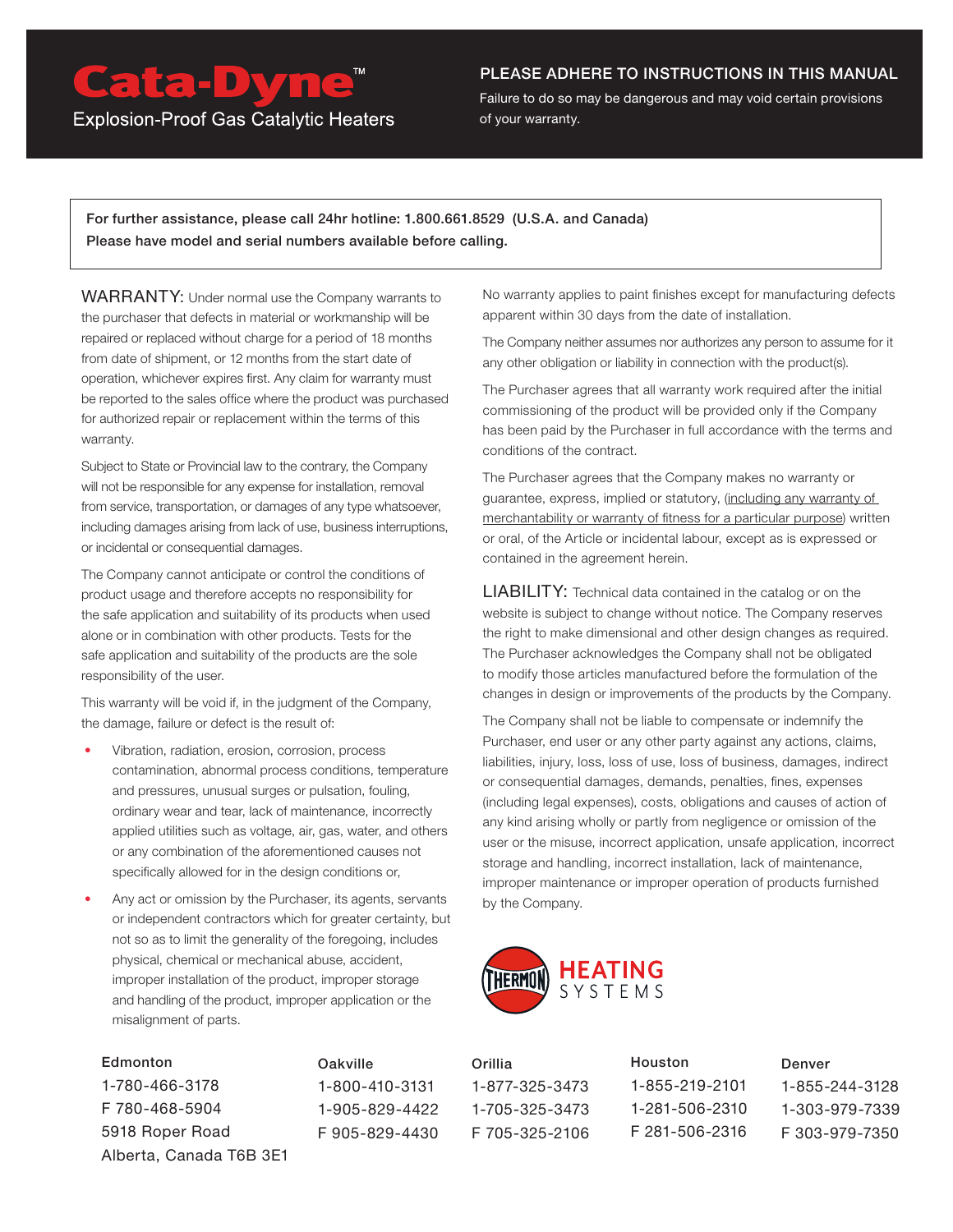## Cata-Dyne<sup>™</sup>

**Explosion-Proof Gas Catalytic Heaters** 

### PLEASE ADHERE TO INSTRUCTIONS IN THIS MANUAL

Failure to do so may be dangerous and may void certain provisions of your warranty.

For further assistance, please call 24hr hotline: 1.800.661.8529 (U.S.A. and Canada) Please have model and serial numbers available before calling.

WARRANTY: Under normal use the Company warrants to the purchaser that defects in material or workmanship will be repaired or replaced without charge for a period of 18 months from date of shipment, or 12 months from the start date of operation, whichever expires first. Any claim for warranty must be reported to the sales office where the product was purchased for authorized repair or replacement within the terms of this warranty.

Subject to State or Provincial law to the contrary, the Company will not be responsible for any expense for installation, removal from service, transportation, or damages of any type whatsoever, including damages arising from lack of use, business interruptions, or incidental or consequential damages.

The Company cannot anticipate or control the conditions of product usage and therefore accepts no responsibility for the safe application and suitability of its products when used alone or in combination with other products. Tests for the safe application and suitability of the products are the sole responsibility of the user.

This warranty will be void if, in the judgment of the Company, the damage, failure or defect is the result of:

- Vibration, radiation, erosion, corrosion, process contamination, abnormal process conditions, temperature and pressures, unusual surges or pulsation, fouling, ordinary wear and tear, lack of maintenance, incorrectly applied utilities such as voltage, air, gas, water, and others or any combination of the aforementioned causes not specifically allowed for in the design conditions or,
- Any act or omission by the Purchaser, its agents, servants or independent contractors which for greater certainty, but not so as to limit the generality of the foregoing, includes physical, chemical or mechanical abuse, accident, improper installation of the product, improper storage and handling of the product, improper application or the misalignment of parts.

**Edmonton** 1-780-466-3178 F 780-468-5904 5918 Roper Road Alberta, Canada T6B 3E1 Oakville 1-800-410-3131 1-905-829-4422 F 905-829-4430 No warranty applies to paint finishes except for manufacturing defects apparent within 30 days from the date of installation.

The Company neither assumes nor authorizes any person to assume for it any other obligation or liability in connection with the product(s).

The Purchaser agrees that all warranty work required after the initial commissioning of the product will be provided only if the Company has been paid by the Purchaser in full accordance with the terms and conditions of the contract.

The Purchaser agrees that the Company makes no warranty or guarantee, express, implied or statutory, (including any warranty of merchantability or warranty of fitness for a particular purpose) written or oral, of the Article or incidental labour, except as is expressed or contained in the agreement herein.

LIABILITY: Technical data contained in the catalog or on the website is subject to change without notice. The Company reserves the right to make dimensional and other design changes as required. The Purchaser acknowledges the Company shall not be obligated to modify those articles manufactured before the formulation of the changes in design or improvements of the products by the Company.

The Company shall not be liable to compensate or indemnify the Purchaser, end user or any other party against any actions, claims, liabilities, injury, loss, loss of use, loss of business, damages, indirect or consequential damages, demands, penalties, fines, expenses (including legal expenses), costs, obligations and causes of action of any kind arising wholly or partly from negligence or omission of the user or the misuse, incorrect application, unsafe application, incorrect storage and handling, incorrect installation, lack of maintenance, improper maintenance or improper operation of products furnished by the Company.



| Orillia        | Houston        | Denver         |
|----------------|----------------|----------------|
| 1-877-325-3473 | 1-855-219-2101 | 1-855-244-3128 |
| 1-705-325-3473 | 1-281-506-2310 | 1-303-979-7339 |
| F 705-325-2106 | F 281-506-2316 | F303-979-7350  |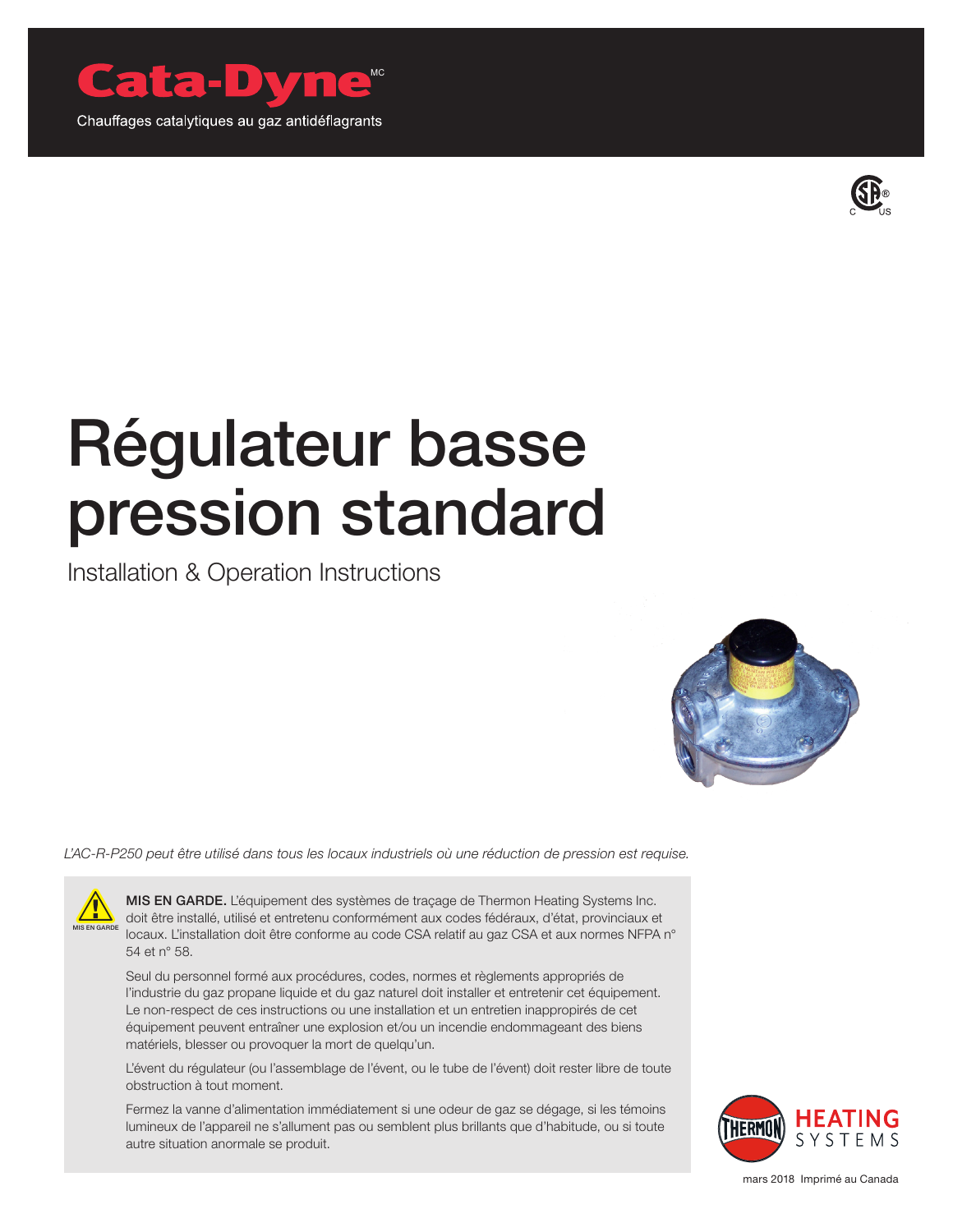



# Régulateur basse pression standard

Installation & Operation Instructions



*L'AC-R-P250 peut être utilisé dans tous les locaux industriels où une réduction de pression est requise.*



MIS EN GARDE. L'équipement des systèmes de traçage de Thermon Heating Systems Inc. doit être installé, utilisé et entretenu conformément aux codes fédéraux, d'état, provinciaux et locaux. L'installation doit être conforme au code CSA relatif au gaz CSA et aux normes NFPA n° 54 et n° 58.

Seul du personnel formé aux procédures, codes, normes et règlements appropriés de l'industrie du gaz propane liquide et du gaz naturel doit installer et entretenir cet équipement. Le non-respect de ces instructions ou une installation et un entretien inappropirés de cet équipement peuvent entraîner une explosion et/ou un incendie endommageant des biens matériels, blesser ou provoquer la mort de quelqu'un.

L'évent du régulateur (ou l'assemblage de l'évent, ou le tube de l'évent) doit rester libre de toute obstruction à tout moment.

Fermez la vanne d'alimentation immédiatement si une odeur de gaz se dégage, si les témoins lumineux de l'appareil ne s'allument pas ou semblent plus brillants que d'habitude, ou si toute autre situation anormale se produit.



mars 2018 Imprimé au Canada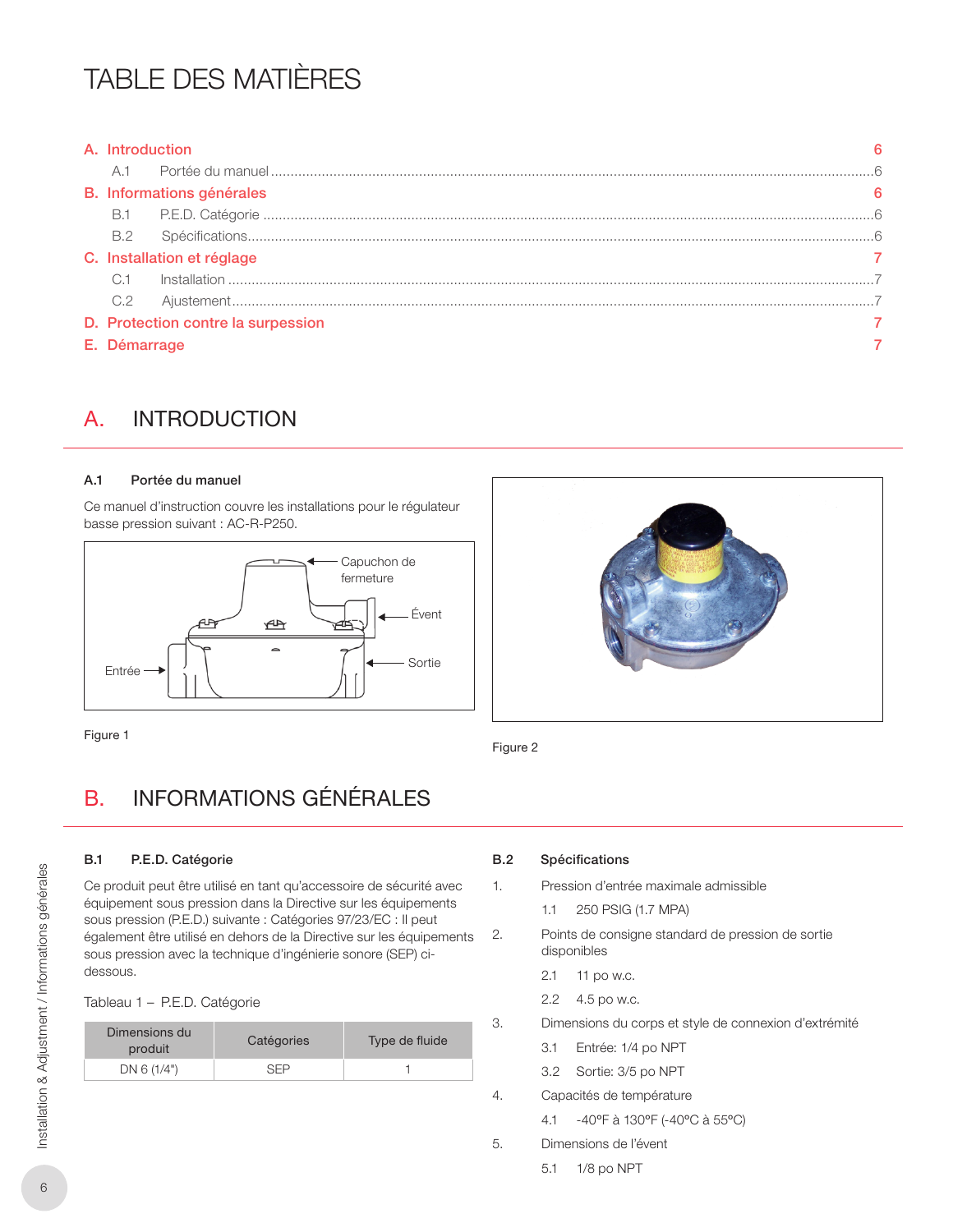## TABLE DES MATIÈRES

| A. Introduction            |                                    |  |
|----------------------------|------------------------------------|--|
| A.1                        |                                    |  |
|                            | B. Informations générales          |  |
|                            |                                    |  |
| B.2                        |                                    |  |
| C. Installation et réglage |                                    |  |
| C.1                        |                                    |  |
| C.2                        |                                    |  |
|                            | D. Protection contre la surpession |  |
| E. Démarrage               |                                    |  |

## A. INTRODUCTION

### A.1 Portée du manuel

Ce manuel d'instruction couvre les installations pour le régulateur basse pression suivant : AC-R-P250.



Figure 2

### Figure 1

## B. INFORMATIONS GÉNÉRALES

### B.1 P.E.D. Catégorie

Ce produit peut être utilisé en tant qu'accessoire de sécurité avec équipement sous pression dans la Directive sur les équipements sous pression (P.E.D.) suivante : Catégories 97/23/EC : Il peut également être utilisé en dehors de la Directive sur les équipements sous pression avec la technique d'ingénierie sonore (SEP) cidessous.

| Tableau 1 – P.E.D. Catégorie |  |  |
|------------------------------|--|--|
|------------------------------|--|--|

| Dimensions du<br>produit | Catégories | Type de fluide |  |
|--------------------------|------------|----------------|--|
| DN 6 (1/4")              |            |                |  |

### B.2 Spécifications

- 1. Pression d'entrée maximale admissible
	- 1.1 250 PSIG (1.7 MPA)
- 2. Points de consigne standard de pression de sortie disponibles
	- 2.1 11 po w.c.
	- 2.2 4.5 po w.c.
- 3. Dimensions du corps et style de connexion d'extrémité
	- 3.1 Entrée: 1/4 po NPT
	- 3.2 Sortie: 3/5 po NPT
- 4. Capacités de température
	- 4.1 -40°F à 130°F (-40°C à 55°C)
- 5. Dimensions de l'évent
	- 5.1 1/8 po NPT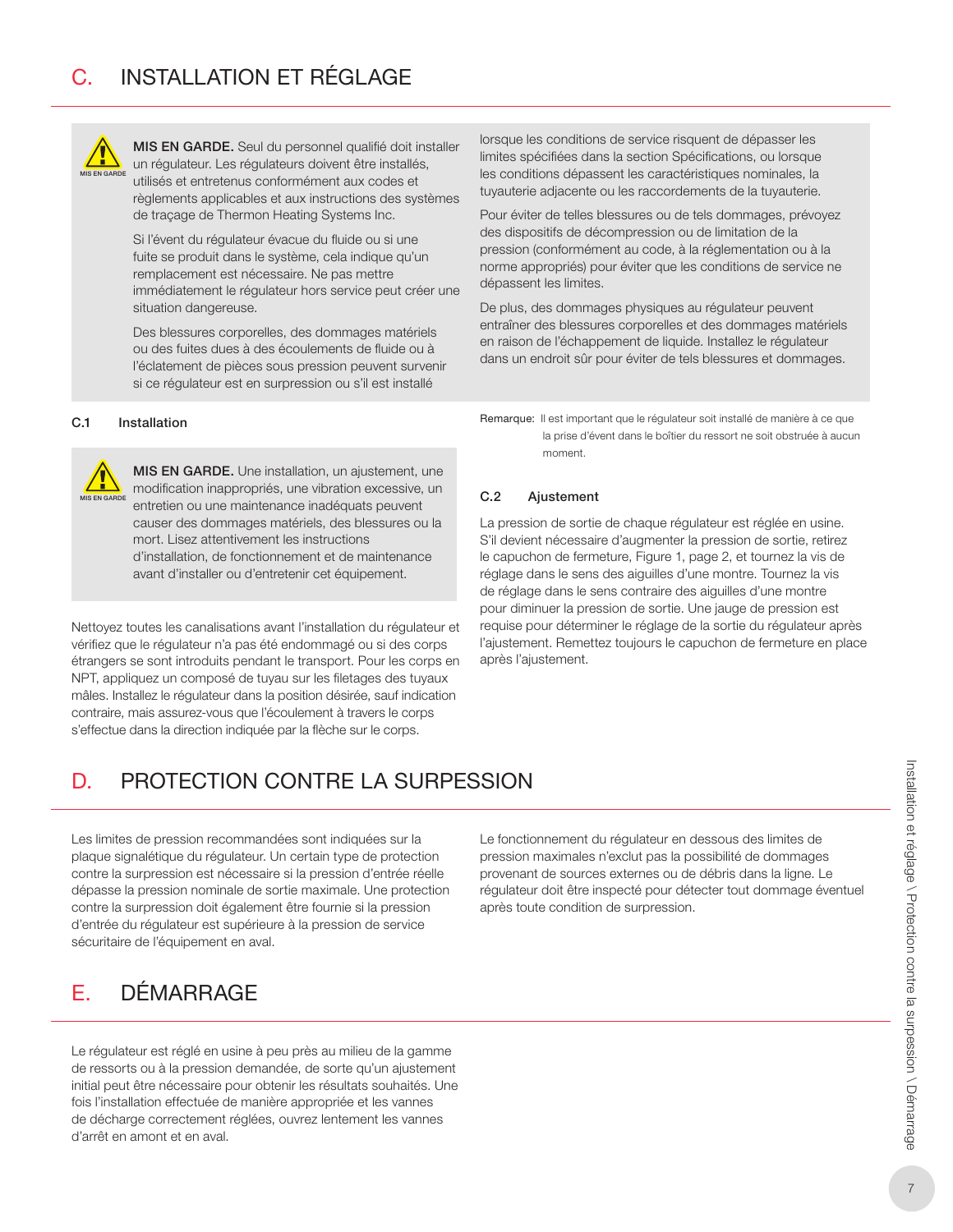

MIS EN GARDE. Seul du personnel qualifié doit installer un régulateur. Les régulateurs doivent être installés, utilisés et entretenus conformément aux codes et règlements applicables et aux instructions des systèmes de traçage de Thermon Heating Systems Inc.

Si l'évent du régulateur évacue du fluide ou si une fuite se produit dans le système, cela indique qu'un remplacement est nécessaire. Ne pas mettre immédiatement le régulateur hors service peut créer une situation dangereuse.

Des blessures corporelles, des dommages matériels ou des fuites dues à des écoulements de fluide ou à l'éclatement de pièces sous pression peuvent survenir si ce régulateur est en surpression ou s'il est installé

### C.1 Installation



MIS EN GARDE. Une installation, un ajustement, une modification inappropriés, une vibration excessive, un entretien ou une maintenance inadéquats peuvent causer des dommages matériels, des blessures ou la mort. Lisez attentivement les instructions d'installation, de fonctionnement et de maintenance avant d'installer ou d'entretenir cet équipement.

Nettoyez toutes les canalisations avant l'installation du régulateur et vérifiez que le régulateur n'a pas été endommagé ou si des corps étrangers se sont introduits pendant le transport. Pour les corps en NPT, appliquez un composé de tuyau sur les filetages des tuyaux mâles. Installez le régulateur dans la position désirée, sauf indication contraire, mais assurez-vous que l'écoulement à travers le corps s'effectue dans la direction indiquée par la flèche sur le corps.

lorsque les conditions de service risquent de dépasser les limites spécifiées dans la section Spécifications, ou lorsque les conditions dépassent les caractéristiques nominales, la tuyauterie adjacente ou les raccordements de la tuyauterie.

Pour éviter de telles blessures ou de tels dommages, prévoyez des dispositifs de décompression ou de limitation de la pression (conformément au code, à la réglementation ou à la norme appropriés) pour éviter que les conditions de service ne dépassent les limites.

De plus, des dommages physiques au régulateur peuvent entraîner des blessures corporelles et des dommages matériels en raison de l'échappement de liquide. Installez le régulateur dans un endroit sûr pour éviter de tels blessures et dommages.

Remarque: Il est important que le régulateur soit installé de manière à ce que la prise d'évent dans le boîtier du ressort ne soit obstruée à aucun moment.

### C.2 Ajustement

La pression de sortie de chaque régulateur est réglée en usine. S'il devient nécessaire d'augmenter la pression de sortie, retirez le capuchon de fermeture, Figure 1, page 2, et tournez la vis de réglage dans le sens des aiguilles d'une montre. Tournez la vis de réglage dans le sens contraire des aiguilles d'une montre pour diminuer la pression de sortie. Une jauge de pression est requise pour déterminer le réglage de la sortie du régulateur après l'ajustement. Remettez toujours le capuchon de fermeture en place après l'ajustement.

## D. PROTECTION CONTRE LA SURPESSION

Les limites de pression recommandées sont indiquées sur la plaque signalétique du régulateur. Un certain type de protection contre la surpression est nécessaire si la pression d'entrée réelle dépasse la pression nominale de sortie maximale. Une protection contre la surpression doit également être fournie si la pression d'entrée du régulateur est supérieure à la pression de service sécuritaire de l'équipement en aval.

Le fonctionnement du régulateur en dessous des limites de pression maximales n'exclut pas la possibilité de dommages provenant de sources externes ou de débris dans la ligne. Le régulateur doit être inspecté pour détecter tout dommage éventuel après toute condition de surpression.

## E. DÉMARRAGE

Le régulateur est réglé en usine à peu près au milieu de la gamme de ressorts ou à la pression demandée, de sorte qu'un ajustement initial peut être nécessaire pour obtenir les résultats souhaités. Une fois l'installation effectuée de manière appropriée et les vannes de décharge correctement réglées, ouvrez lentement les vannes d'arrêt en amont et en aval.